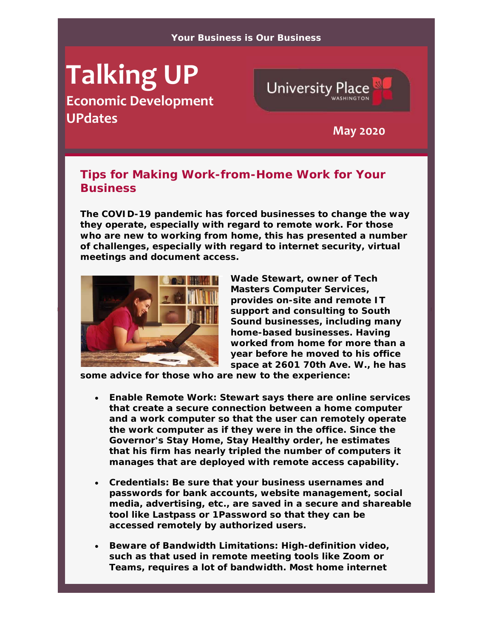## **Talking UP**

**Economic Development UPdates May <sup>2020</sup>**



## **Tips for Making Work-from-Home Work for Your Business**

**The COVID-19 pandemic has forced businesses to change the way they operate, especially with regard to remote work. For those who are new to working from home, this has presented a number of challenges, especially with regard to internet security, virtual meetings and document access.** 



**Wade Stewart, owner of Tech Masters Computer Services, provides on-site and remote IT support and consulting to South Sound businesses, including many home-based businesses. Having worked from home for more than a year before he moved to his office space at 2601 70th Ave. W., he has** 

**some advice for those who are new to the experience:** 

- **Enable Remote Work: Stewart says there are online services that create a secure connection between a home computer and a work computer so that the user can remotely operate the work computer as if they were in the office. Since the Governor's Stay Home, Stay Healthy order, he estimates that his firm has nearly tripled the number of computers it manages that are deployed with remote access capability.**
- **Credentials: Be sure that your business usernames and passwords for bank accounts, website management, social media, advertising, etc., are saved in a secure and shareable tool like Lastpass or 1Password so that they can be accessed remotely by authorized users.**
- **Beware of Bandwidth Limitations: High-definition video, such as that used in remote meeting tools like Zoom or Teams, requires a lot of bandwidth. Most home internet**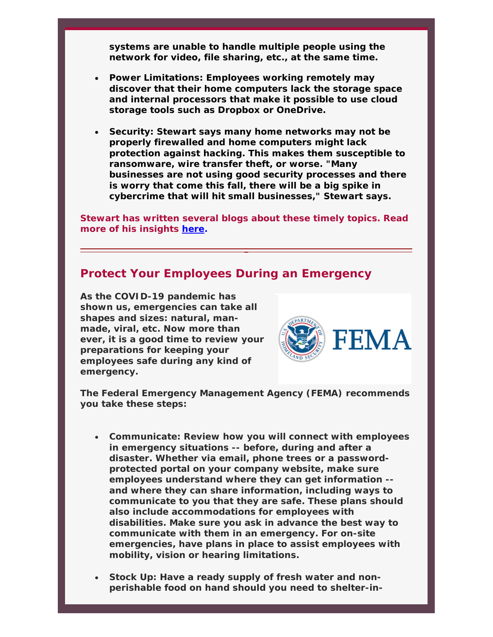**systems are unable to handle multiple people using the network for video, file sharing, etc., at the same time.** 

- **Power Limitations: Employees working remotely may discover that their home computers lack the storage space and internal processors that make it possible to use cloud storage tools such as Dropbox or OneDrive.**
- **Security: Stewart says many home networks may not be properly firewalled and home computers might lack protection against hacking. This makes them susceptible to ransomware, wire transfer theft, or worse. "Many businesses are not using good security processes and there is worry that come this fall, there will be a big spike in cybercrime that will hit small businesses," Stewart says.**

**Stewart has written several blogs about these timely topics. Read more of his insights here.** 

## **Protect Your Employees During an Emergency**

**As the COVID-19 pandemic has shown us, emergencies can take all shapes and sizes: natural, manmade, viral, etc. Now more than ever, it is a good time to review your preparations for keeping your employees safe during any kind of emergency.** 



**The Federal Emergency Management Agency (FEMA) recommends you take these steps:** 

- **Communicate: Review how you will connect with employees in emergency situations -- before, during and after a disaster. Whether via email, phone trees or a passwordprotected portal on your company website, make sure employees understand where they can get information - and where they can share information, including ways to communicate to you that they are safe. These plans should also include accommodations for employees with disabilities. Make sure you ask in advance the best way to communicate with them in an emergency. For on-site emergencies, have plans in place to assist employees with mobility, vision or hearing limitations.**
- **Stock Up: Have a ready supply of fresh water and nonperishable food on hand should you need to shelter-in-**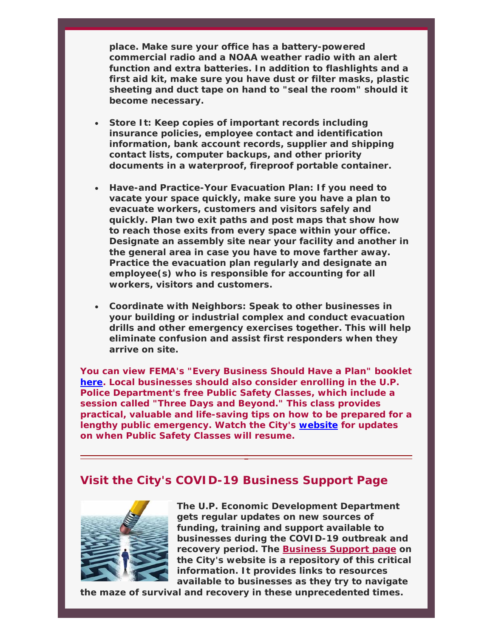**place. Make sure your office has a battery-powered commercial radio and a NOAA weather radio with an alert function and extra batteries. In addition to flashlights and a first aid kit, make sure you have dust or filter masks, plastic sheeting and duct tape on hand to "seal the room" should it become necessary.** 

- **Store It: Keep copies of important records including insurance policies, employee contact and identification information, bank account records, supplier and shipping contact lists, computer backups, and other priority documents in a waterproof, fireproof portable container.**
- **Have-and Practice-Your Evacuation Plan: If you need to vacate your space quickly, make sure you have a plan to evacuate workers, customers and visitors safely and quickly. Plan two exit paths and post maps that show how to reach those exits from every space within your office. Designate an assembly site near your facility and another in the general area in case you have to move farther away. Practice the evacuation plan regularly and designate an employee(s) who is responsible for accounting for all workers, visitors and customers.**
- **Coordinate with Neighbors: Speak to other businesses in your building or industrial complex and conduct evacuation drills and other emergency exercises together. This will help eliminate confusion and assist first responders when they arrive on site.**

**You can view FEMA's "Every Business Should Have a Plan" booklet here. Local businesses should also consider enrolling in the U.P. Police Department's free Public Safety Classes, which include a session called "Three Days and Beyond." This class provides practical, valuable and life-saving tips on how to be prepared for a lengthy public emergency. Watch the City's website for updates on when Public Safety Classes will resume.** 

## **Visit the City's COVID-19 Business Support Page**



**The U.P. Economic Development Department gets regular updates on new sources of funding, training and support available to businesses during the COVID-19 outbreak and recovery period. The Business Support page on the City's website is a repository of this critical information. It provides links to resources available to businesses as they try to navigate** 

**the maze of survival and recovery in these unprecedented times.**